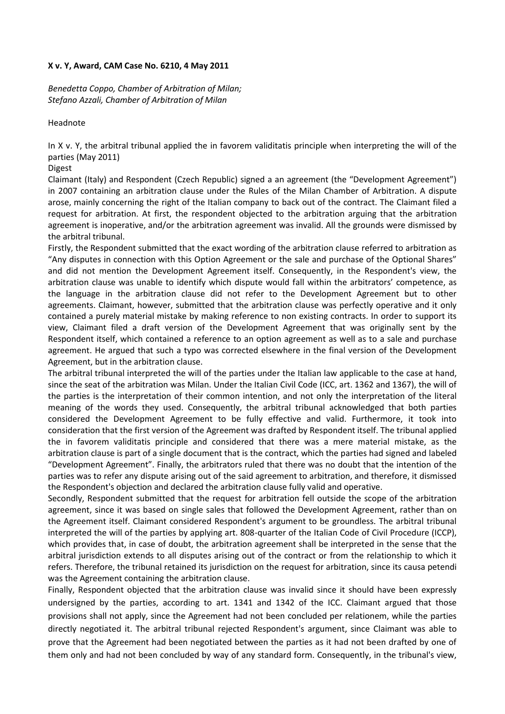## **X v. Y, Award, CAM Case No. 6210, 4 May 2011**

*Benedetta Coppo, Chamber of Arbitration of Milan; Stefano Azzali, Chamber of Arbitration of Milan* 

Headnote

In X v. Y, the arbitral tribunal applied the in favorem validitatis principle when interpreting the will of the parties (May 2011)

## Digest

Claimant (Italy) and Respondent (Czech Republic) signed a an agreement (the "Development Agreement") in 2007 containing an arbitration clause under the Rules of the Milan Chamber of Arbitration. A dispute arose, mainly concerning the right of the Italian company to back out of the contract. The Claimant filed a request for arbitration. At first, the respondent objected to the arbitration arguing that the arbitration agreement is inoperative, and/or the arbitration agreement was invalid. All the grounds were dismissed by the arbitral tribunal.

Firstly, the Respondent submitted that the exact wording of the arbitration clause referred to arbitration as "Any disputes in connection with this Option Agreement or the sale and purchase of the Optional Shares" and did not mention the Development Agreement itself. Consequently, in the Respondent's view, the arbitration clause was unable to identify which dispute would fall within the arbitrators' competence, as the language in the arbitration clause did not refer to the Development Agreement but to other agreements. Claimant, however, submitted that the arbitration clause was perfectly operative and it only contained a purely material mistake by making reference to non existing contracts. In order to support its view, Claimant filed a draft version of the Development Agreement that was originally sent by the Respondent itself, which contained a reference to an option agreement as well as to a sale and purchase agreement. He argued that such a typo was corrected elsewhere in the final version of the Development Agreement, but in the arbitration clause.

The arbitral tribunal interpreted the will of the parties under the Italian law applicable to the case at hand, since the seat of the arbitration was Milan. Under the Italian Civil Code (ICC, art. 1362 and 1367), the will of the parties is the interpretation of their common intention, and not only the interpretation of the literal meaning of the words they used. Consequently, the arbitral tribunal acknowledged that both parties considered the Development Agreement to be fully effective and valid. Furthermore, it took into consideration that the first version of the Agreement was drafted by Respondent itself. The tribunal applied the in favorem validitatis principle and considered that there was a mere material mistake, as the arbitration clause is part of a single document that is the contract, which the parties had signed and labeled "Development Agreement". Finally, the arbitrators ruled that there was no doubt that the intention of the parties was to refer any dispute arising out of the said agreement to arbitration, and therefore, it dismissed the Respondent's objection and declared the arbitration clause fully valid and operative.

Secondly, Respondent submitted that the request for arbitration fell outside the scope of the arbitration agreement, since it was based on single sales that followed the Development Agreement, rather than on the Agreement itself. Claimant considered Respondent's argument to be groundless. The arbitral tribunal interpreted the will of the parties by applying art. 808-quarter of the Italian Code of Civil Procedure (ICCP), which provides that, in case of doubt, the arbitration agreement shall be interpreted in the sense that the arbitral jurisdiction extends to all disputes arising out of the contract or from the relationship to which it refers. Therefore, the tribunal retained its jurisdiction on the request for arbitration, since its causa petendi was the Agreement containing the arbitration clause.

Finally, Respondent objected that the arbitration clause was invalid since it should have been expressly undersigned by the parties, according to art. 1341 and 1342 of the ICC. Claimant argued that those provisions shall not apply, since the Agreement had not been concluded per relationem, while the parties directly negotiated it. The arbitral tribunal rejected Respondent's argument, since Claimant was able to prove that the Agreement had been negotiated between the parties as it had not been drafted by one of them only and had not been concluded by way of any standard form. Consequently, in the tribunal's view,